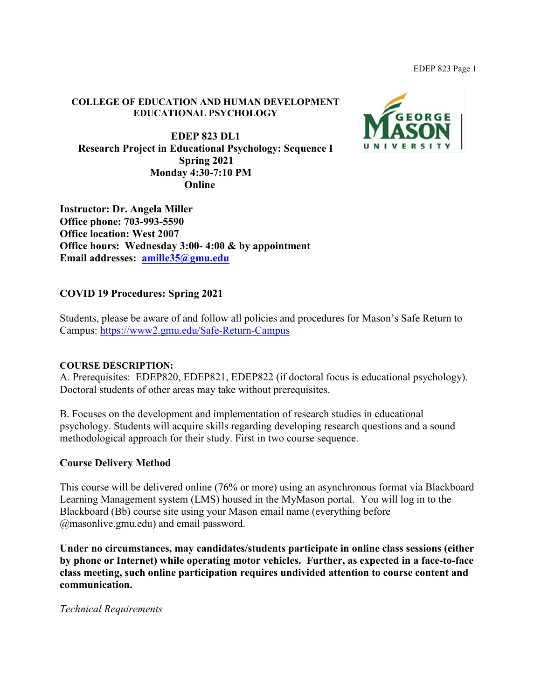#### **COLLEGE OF EDUCATION AND HUMAN DEVELOPMENT EDUCATIONAL PSYCHOLOGY**

**EDEP 823 DL1 Research Project in Educational Psychology: Sequence I Spring 2021 Monday 4:30-7:10 PM Online**



**Instructor: Dr. Angela Miller Office phone: 703-993-5590 Office location: West 2007 Office hours: Wednesday 3:00- 4:00 & by appointment Email addresses: [amille35@gmu.edu](mailto:amille35@gmu.edu)**

### **COVID 19 Procedures: Spring 2021**

Students, please be aware of and follow all policies and procedures for Mason's Safe Return to Campus:<https://www2.gmu.edu/Safe-Return-Campus>

#### **COURSE DESCRIPTION:**

A. Prerequisites: EDEP820, EDEP821, EDEP822 (if doctoral focus is educational psychology). Doctoral students of other areas may take without prerequisites.

B. Focuses on the development and implementation of research studies in educational psychology. Students will acquire skills regarding developing research questions and a sound methodological approach for their study. First in two course sequence.

#### **Course Delivery Method**

This course will be delivered online (76% or more) using an asynchronous format via Blackboard Learning Management system (LMS) housed in the MyMason portal. You will log in to the Blackboard (Bb) course site using your Mason email name (everything before @masonlive.gmu.edu) and email password.

**Under no circumstances, may candidates/students participate in online class sessions (either by phone or Internet) while operating motor vehicles. Further, as expected in a face-to-face class meeting, such online participation requires undivided attention to course content and communication.**

*Technical Requirements*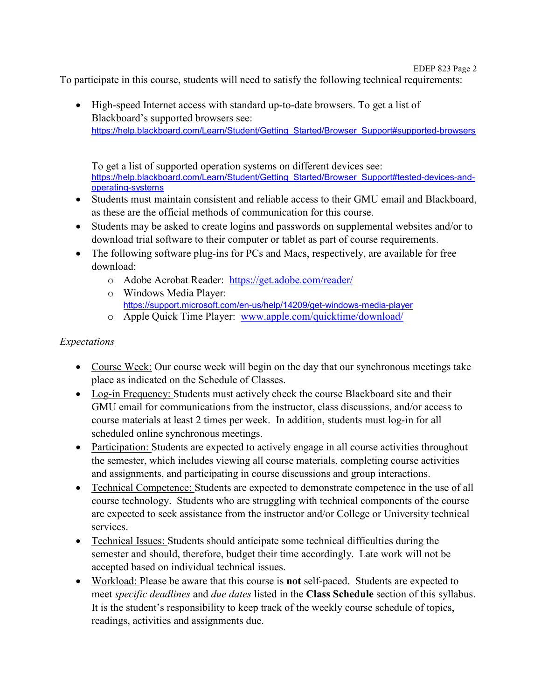To participate in this course, students will need to satisfy the following technical requirements:

• High-speed Internet access with standard up-to-date browsers. To get a list of Blackboard's supported browsers see: [https://help.blackboard.com/Learn/Student/Getting\\_Started/Browser\\_Support#supported-browsers](https://help.blackboard.com/Learn/Student/Getting_Started/Browser_Support#supported-browsers)

To get a list of supported operation systems on different devices see: [https://help.blackboard.com/Learn/Student/Getting\\_Started/Browser\\_Support#tested-devices-and](https://help.blackboard.com/Learn/Student/Getting_Started/Browser_Support#tested-devices-and-operating-systems)[operating-systems](https://help.blackboard.com/Learn/Student/Getting_Started/Browser_Support#tested-devices-and-operating-systems)

- Students must maintain consistent and reliable access to their GMU email and Blackboard, as these are the official methods of communication for this course.
- Students may be asked to create logins and passwords on supplemental websites and/or to download trial software to their computer or tablet as part of course requirements.
- The following software plug-ins for PCs and Macs, respectively, are available for free download:
	- o Adobe Acrobat Reader: <https://get.adobe.com/reader/>
	- o Windows Media Player: <https://support.microsoft.com/en-us/help/14209/get-windows-media-player>
	- o Apple Quick Time Player: [www.apple.com/quicktime/download/](http://www.apple.com/quicktime/download/)

### *Expectations*

- Course Week: Our course week will begin on the day that our synchronous meetings take place as indicated on the Schedule of Classes.
- Log-in Frequency: Students must actively check the course Blackboard site and their GMU email for communications from the instructor, class discussions, and/or access to course materials at least 2 times per week. In addition, students must log-in for all scheduled online synchronous meetings.
- Participation: Students are expected to actively engage in all course activities throughout the semester, which includes viewing all course materials, completing course activities and assignments, and participating in course discussions and group interactions.
- Technical Competence: Students are expected to demonstrate competence in the use of all course technology. Students who are struggling with technical components of the course are expected to seek assistance from the instructor and/or College or University technical services.
- Technical Issues: Students should anticipate some technical difficulties during the semester and should, therefore, budget their time accordingly. Late work will not be accepted based on individual technical issues.
- Workload: Please be aware that this course is **not** self-paced. Students are expected to meet *specific deadlines* and *due dates* listed in the **Class Schedule** section of this syllabus. It is the student's responsibility to keep track of the weekly course schedule of topics, readings, activities and assignments due.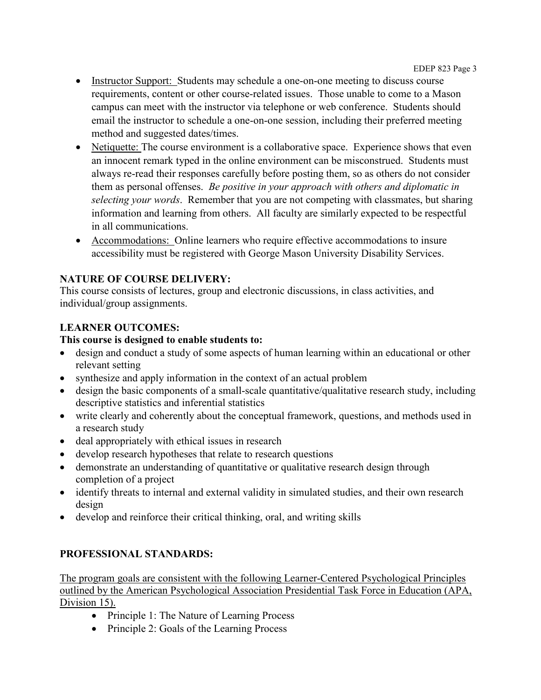- Instructor Support: Students may schedule a one-on-one meeting to discuss course requirements, content or other course-related issues. Those unable to come to a Mason campus can meet with the instructor via telephone or web conference. Students should email the instructor to schedule a one-on-one session, including their preferred meeting method and suggested dates/times.
- Netiquette: The course environment is a collaborative space. Experience shows that even an innocent remark typed in the online environment can be misconstrued. Students must always re-read their responses carefully before posting them, so as others do not consider them as personal offenses. *Be positive in your approach with others and diplomatic in selecting your words*. Remember that you are not competing with classmates, but sharing information and learning from others. All faculty are similarly expected to be respectful in all communications.
- Accommodations: Online learners who require effective accommodations to insure accessibility must be registered with George Mason University Disability Services.

## **NATURE OF COURSE DELIVERY:**

This course consists of lectures, group and electronic discussions, in class activities, and individual/group assignments.

# **LEARNER OUTCOMES:**

### **This course is designed to enable students to:**

- design and conduct a study of some aspects of human learning within an educational or other relevant setting
- synthesize and apply information in the context of an actual problem
- design the basic components of a small-scale quantitative/qualitative research study, including descriptive statistics and inferential statistics
- write clearly and coherently about the conceptual framework, questions, and methods used in a research study
- deal appropriately with ethical issues in research
- develop research hypotheses that relate to research questions
- demonstrate an understanding of quantitative or qualitative research design through completion of a project
- identify threats to internal and external validity in simulated studies, and their own research design
- develop and reinforce their critical thinking, oral, and writing skills

# **PROFESSIONAL STANDARDS:**

The program goals are consistent with the following Learner-Centered Psychological Principles outlined by the American Psychological Association Presidential Task Force in Education (APA, Division 15).

- Principle 1: The Nature of Learning Process
- Principle 2: Goals of the Learning Process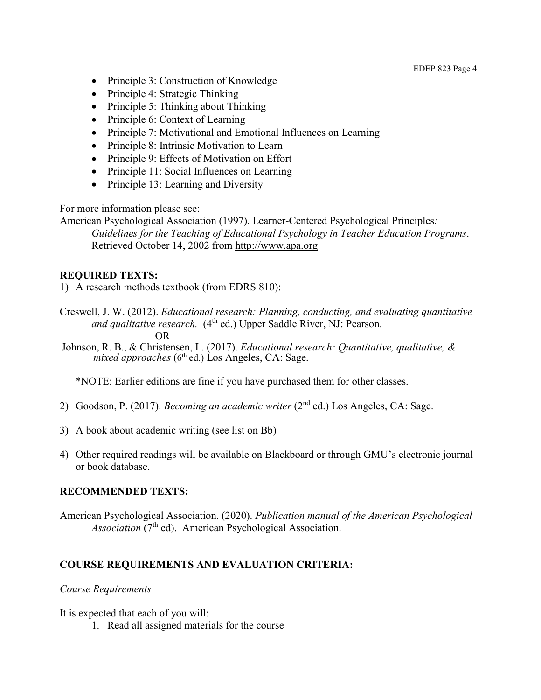- Principle 3: Construction of Knowledge
- Principle 4: Strategic Thinking
- Principle 5: Thinking about Thinking
- Principle 6: Context of Learning
- Principle 7: Motivational and Emotional Influences on Learning
- Principle 8: Intrinsic Motivation to Learn
- Principle 9: Effects of Motivation on Effort
- Principle 11: Social Influences on Learning
- Principle 13: Learning and Diversity

For more information please see:

American Psychological Association (1997). Learner-Centered Psychological Principles*: Guidelines for the Teaching of Educational Psychology in Teacher Education Programs*. Retrieved October 14, 2002 from [http://www.apa.org](http://www.apa.org/)

#### **REQUIRED TEXTS:**

1) A research methods textbook (from EDRS 810):

- Creswell, J. W. (2012). *Educational research: Planning, conducting, and evaluating quantitative and qualitative research.* (4<sup>th</sup> ed.) Upper Saddle River, NJ: Pearson. OR
- Johnson, R. B., & Christensen, L. (2017). *Educational research: Quantitative, qualitative, & mixed approaches* (6<sup>th</sup> ed.) Los Angeles, CA: Sage.

\*NOTE: Earlier editions are fine if you have purchased them for other classes.

- 2) Goodson, P. (2017). *Becoming an academic writer* (2nd ed.) Los Angeles, CA: Sage.
- 3) A book about academic writing (see list on Bb)
- 4) Other required readings will be available on Blackboard or through GMU's electronic journal or book database.

#### **RECOMMENDED TEXTS:**

American Psychological Association. (2020). *Publication manual of the American Psychological Association* (7<sup>th</sup> ed). American Psychological Association.

### **COURSE REQUIREMENTS AND EVALUATION CRITERIA:**

#### *Course Requirements*

It is expected that each of you will:

1. Read all assigned materials for the course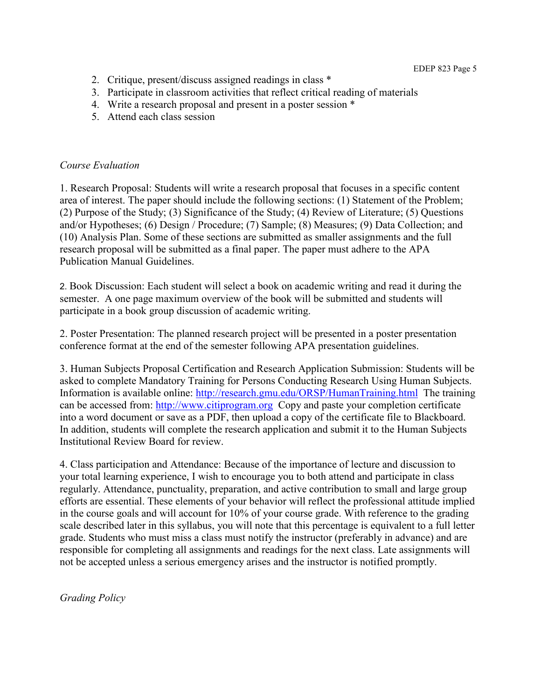- 2. Critique, present/discuss assigned readings in class \*
- 3. Participate in classroom activities that reflect critical reading of materials
- 4. Write a research proposal and present in a poster session \*
- 5. Attend each class session

#### *Course Evaluation*

1. Research Proposal: Students will write a research proposal that focuses in a specific content area of interest. The paper should include the following sections: (1) Statement of the Problem; (2) Purpose of the Study; (3) Significance of the Study; (4) Review of Literature; (5) Questions and/or Hypotheses; (6) Design / Procedure; (7) Sample; (8) Measures; (9) Data Collection; and (10) Analysis Plan. Some of these sections are submitted as smaller assignments and the full research proposal will be submitted as a final paper. The paper must adhere to the APA Publication Manual Guidelines.

2. Book Discussion: Each student will select a book on academic writing and read it during the semester. A one page maximum overview of the book will be submitted and students will participate in a book group discussion of academic writing.

2. Poster Presentation: The planned research project will be presented in a poster presentation conference format at the end of the semester following APA presentation guidelines.

3. Human Subjects Proposal Certification and Research Application Submission: Students will be asked to complete Mandatory Training for Persons Conducting Research Using Human Subjects. Information is available online:<http://research.gmu.edu/ORSP/HumanTraining.html>The training can be accessed from: [http://www.citiprogram.org](http://www.citiprogram.org/) Copy and paste your completion certificate into a word document or save as a PDF, then upload a copy of the certificate file to Blackboard. In addition, students will complete the research application and submit it to the Human Subjects Institutional Review Board for review.

4. Class participation and Attendance: Because of the importance of lecture and discussion to your total learning experience, I wish to encourage you to both attend and participate in class regularly. Attendance, punctuality, preparation, and active contribution to small and large group efforts are essential. These elements of your behavior will reflect the professional attitude implied in the course goals and will account for 10% of your course grade. With reference to the grading scale described later in this syllabus, you will note that this percentage is equivalent to a full letter grade. Students who must miss a class must notify the instructor (preferably in advance) and are responsible for completing all assignments and readings for the next class. Late assignments will not be accepted unless a serious emergency arises and the instructor is notified promptly.

*Grading Policy*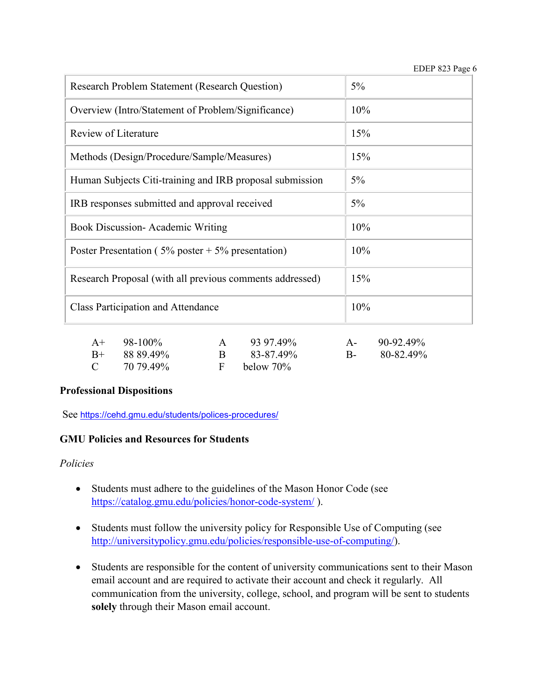| <b>Research Problem Statement (Research Question)</b>                                        | $5\%$ |
|----------------------------------------------------------------------------------------------|-------|
| Overview (Intro/Statement of Problem/Significance)                                           | 10%   |
| Review of Literature                                                                         | 15%   |
| Methods (Design/Procedure/Sample/Measures)                                                   | 15%   |
| Human Subjects Citi-training and IRB proposal submission                                     | $5\%$ |
| IRB responses submitted and approval received                                                | 5%    |
| <b>Book Discussion-Academic Writing</b>                                                      | 10%   |
| Poster Presentation ( $5\%$ poster + $5\%$ presentation)                                     | 10%   |
| Research Proposal (with all previous comments addressed)                                     | 15%   |
| <b>Class Participation and Attendance</b>                                                    | 10%   |
| $\lambda$ , $\lambda$ $\lambda$ $\lambda$ $\lambda$ $\lambda$ $\lambda$<br>$\sim$ 00.07.100/ |       |

| $A+ 98-100\%$   | 93 97.49%      | $A-90-92.49\%$ |
|-----------------|----------------|----------------|
| $B+$ 88.89.49%  | 83-87.49%      | $B-80-82.49\%$ |
| $C = 7079.49\%$ | F below $70\%$ |                |

### **Professional Dispositions**

See <https://cehd.gmu.edu/students/polices-procedures/>

### **GMU Policies and Resources for Students**

*Policies*

- Students must adhere to the guidelines of the Mason Honor Code (see <https://catalog.gmu.edu/policies/honor-code-system/> ).
- Students must follow the university policy for Responsible Use of Computing (see [http://universitypolicy.gmu.edu/policies/responsible-use-of-computing/\)](http://universitypolicy.gmu.edu/policies/responsible-use-of-computing/).
- Students are responsible for the content of university communications sent to their Mason email account and are required to activate their account and check it regularly. All communication from the university, college, school, and program will be sent to students **solely** through their Mason email account.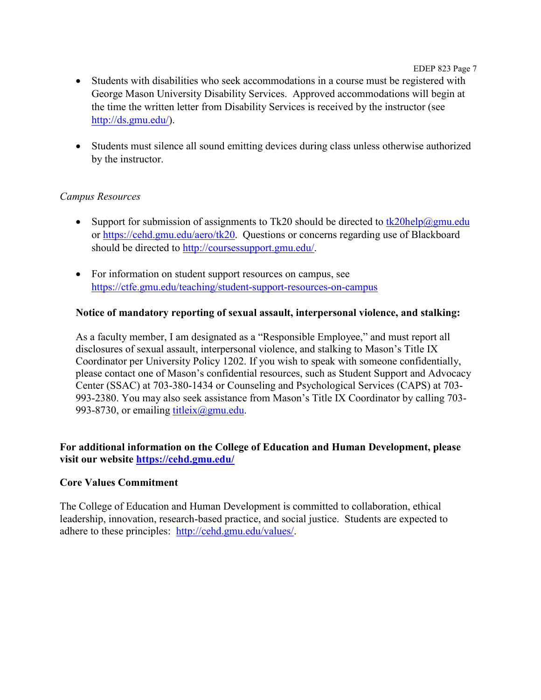EDEP 823 Page 7

- Students with disabilities who seek accommodations in a course must be registered with George Mason University Disability Services. Approved accommodations will begin at the time the written letter from Disability Services is received by the instructor (see [http://ds.gmu.edu/\)](http://ds.gmu.edu/).
- Students must silence all sound emitting devices during class unless otherwise authorized by the instructor.

### *Campus Resources*

- Support for submission of assignments to Tk20 should be directed to  $tk20$ help $@gmu$ .edu or [https://cehd.gmu.edu/aero/tk20.](https://cehd.gmu.edu/aero/tk20) Questions or concerns regarding use of Blackboard should be directed to [http://coursessupport.gmu.edu/.](http://coursessupport.gmu.edu/)
- For information on student support resources on campus, see <https://ctfe.gmu.edu/teaching/student-support-resources-on-campus>

### **Notice of mandatory reporting of sexual assault, interpersonal violence, and stalking:**

As a faculty member, I am designated as a "Responsible Employee," and must report all disclosures of sexual assault, interpersonal violence, and stalking to Mason's Title IX Coordinator per University Policy 1202. If you wish to speak with someone confidentially, please contact one of Mason's confidential resources, such as Student Support and Advocacy Center (SSAC) at 703-380-1434 or Counseling and Psychological Services (CAPS) at 703- 993-2380. You may also seek assistance from Mason's Title IX Coordinator by calling 703- 993-8730, or emailing titleix $(\partial \text{gmu.edu})$ .

### **For additional information on the College of Education and Human Development, please visit our website<https://cehd.gmu.edu/>**

### **Core Values Commitment**

The College of Education and Human Development is committed to collaboration, ethical leadership, innovation, research-based practice, and social justice. Students are expected to adhere to these principles: [http://cehd.gmu.edu/values/.](http://cehd.gmu.edu/values/)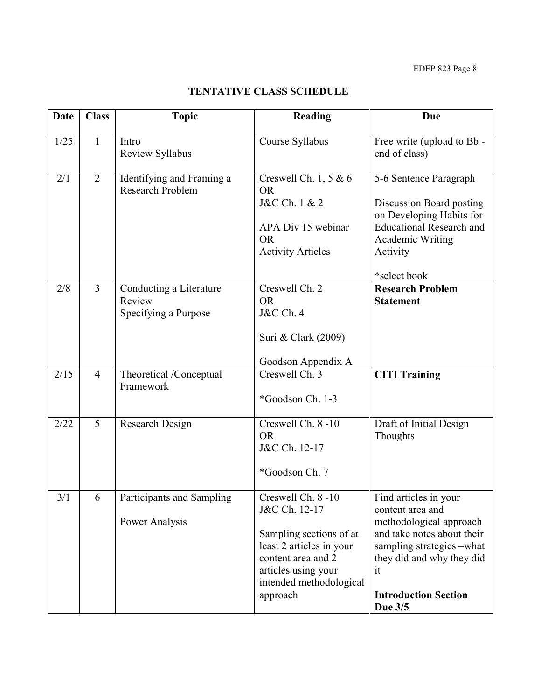# **TENTATIVE CLASS SCHEDULE**

| <b>Date</b> | <b>Class</b>   | <b>Topic</b>                                              | Reading                                                                                                                                                                       | Due                                                                                                                                                                                                          |
|-------------|----------------|-----------------------------------------------------------|-------------------------------------------------------------------------------------------------------------------------------------------------------------------------------|--------------------------------------------------------------------------------------------------------------------------------------------------------------------------------------------------------------|
| 1/25        | $\mathbf{1}$   | Intro<br>Review Syllabus                                  | Course Syllabus                                                                                                                                                               | Free write (upload to Bb -<br>end of class)                                                                                                                                                                  |
| 2/1         | $\overline{2}$ | Identifying and Framing a<br>Research Problem             | Creswell Ch. 1, 5 & 6<br><b>OR</b><br>J&C Ch. 1 & 2<br>APA Div 15 webinar<br><b>OR</b><br><b>Activity Articles</b>                                                            | 5-6 Sentence Paragraph<br>Discussion Board posting<br>on Developing Habits for<br><b>Educational Research and</b><br>Academic Writing<br>Activity<br>*select book                                            |
| 2/8         | $\overline{3}$ | Conducting a Literature<br>Review<br>Specifying a Purpose | Creswell Ch. 2<br><b>OR</b><br><b>J&amp;C</b> Ch. 4<br>Suri & Clark (2009)<br>Goodson Appendix A                                                                              | <b>Research Problem</b><br><b>Statement</b>                                                                                                                                                                  |
| 2/15        | $\overline{4}$ | Theoretical /Conceptual<br>Framework                      | Creswell Ch. 3<br>*Goodson Ch. 1-3                                                                                                                                            | <b>CITI Training</b>                                                                                                                                                                                         |
| 2/22        | 5              | Research Design                                           | Creswell Ch. 8-10<br><b>OR</b><br>J&C Ch. 12-17<br>*Goodson Ch. 7                                                                                                             | Draft of Initial Design<br>Thoughts                                                                                                                                                                          |
| 3/1         | 6              | Participants and Sampling<br>Power Analysis               | Creswell Ch. 8-10<br>J&C Ch. 12-17<br>Sampling sections of at<br>least 2 articles in your<br>content area and 2<br>articles using your<br>intended methodological<br>approach | Find articles in your<br>content area and<br>methodological approach<br>and take notes about their<br>sampling strategies -what<br>they did and why they did<br>it<br><b>Introduction Section</b><br>Due 3/5 |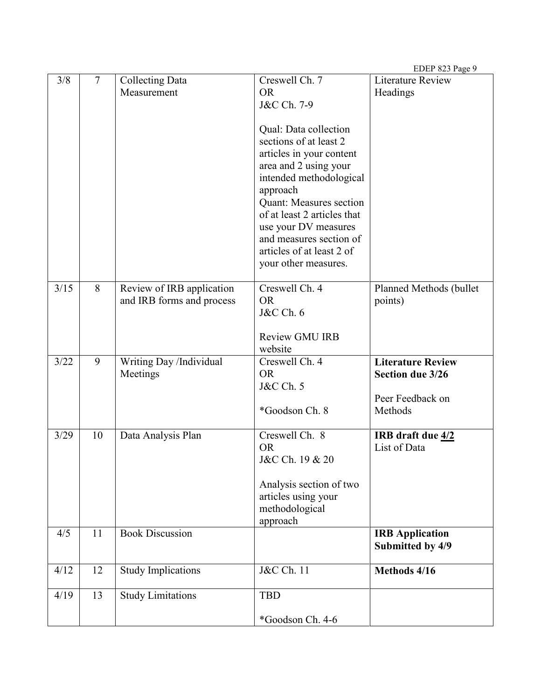|      |    |                           |                                                 | EDEP 823 Page 9          |
|------|----|---------------------------|-------------------------------------------------|--------------------------|
| 3/8  | 7  | <b>Collecting Data</b>    | Creswell Ch. 7                                  | <b>Literature Review</b> |
|      |    | Measurement               | <b>OR</b>                                       | Headings                 |
|      |    |                           | J&C Ch. 7-9                                     |                          |
|      |    |                           |                                                 |                          |
|      |    |                           | Qual: Data collection<br>sections of at least 2 |                          |
|      |    |                           | articles in your content                        |                          |
|      |    |                           | area and 2 using your                           |                          |
|      |    |                           | intended methodological                         |                          |
|      |    |                           | approach                                        |                          |
|      |    |                           | Quant: Measures section                         |                          |
|      |    |                           | of at least 2 articles that                     |                          |
|      |    |                           | use your DV measures                            |                          |
|      |    |                           | and measures section of                         |                          |
|      |    |                           | articles of at least 2 of                       |                          |
|      |    |                           | your other measures.                            |                          |
|      |    |                           |                                                 |                          |
| 3/15 | 8  | Review of IRB application | Creswell Ch. 4                                  | Planned Methods (bullet  |
|      |    | and IRB forms and process | OR.                                             | points)                  |
|      |    |                           | <b>J&amp;C</b> Ch. 6                            |                          |
|      |    |                           |                                                 |                          |
|      |    |                           | <b>Review GMU IRB</b><br>website                |                          |
| 3/22 | 9  | Writing Day /Individual   | Creswell Ch. 4                                  | <b>Literature Review</b> |
|      |    | Meetings                  | <b>OR</b>                                       | Section due 3/26         |
|      |    |                           | <b>J&amp;C</b> Ch. 5                            |                          |
|      |    |                           |                                                 | Peer Feedback on         |
|      |    |                           | *Goodson Ch. 8                                  | Methods                  |
|      |    |                           |                                                 |                          |
| 3/29 | 10 | Data Analysis Plan        | Creswell Ch. 8                                  | IRB draft due 4/2        |
|      |    |                           | <b>OR</b>                                       | List of Data             |
|      |    |                           | J&C Ch. 19 & 20                                 |                          |
|      |    |                           | Analysis section of two                         |                          |
|      |    |                           | articles using your                             |                          |
|      |    |                           | methodological                                  |                          |
|      |    |                           | approach                                        |                          |
| 4/5  | 11 | <b>Book Discussion</b>    |                                                 | <b>IRB</b> Application   |
|      |    |                           |                                                 | Submitted by 4/9         |
|      |    |                           |                                                 |                          |
| 4/12 | 12 | <b>Study Implications</b> | J&C Ch. 11                                      | Methods 4/16             |
|      |    |                           |                                                 |                          |
| 4/19 | 13 | <b>Study Limitations</b>  | <b>TBD</b>                                      |                          |
|      |    |                           | *Goodson Ch. 4-6                                |                          |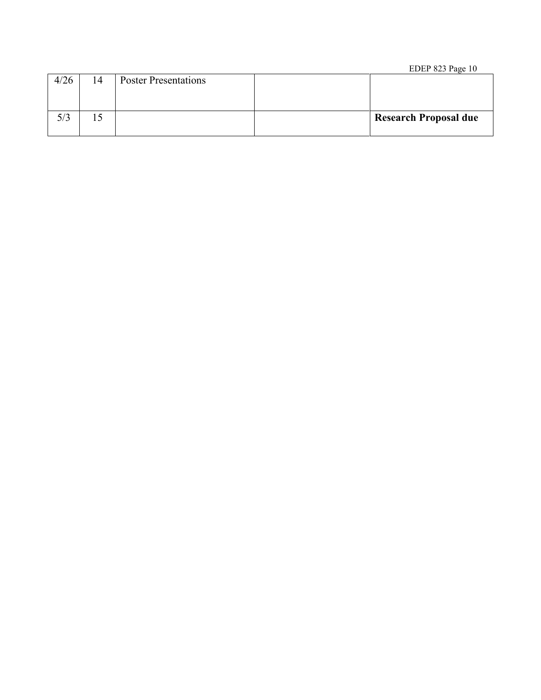#### EDEP 823 Page 10

| 4/26 | 14 | <b>Poster Presentations</b> |                              |
|------|----|-----------------------------|------------------------------|
| 5/3  | LΟ |                             | <b>Research Proposal due</b> |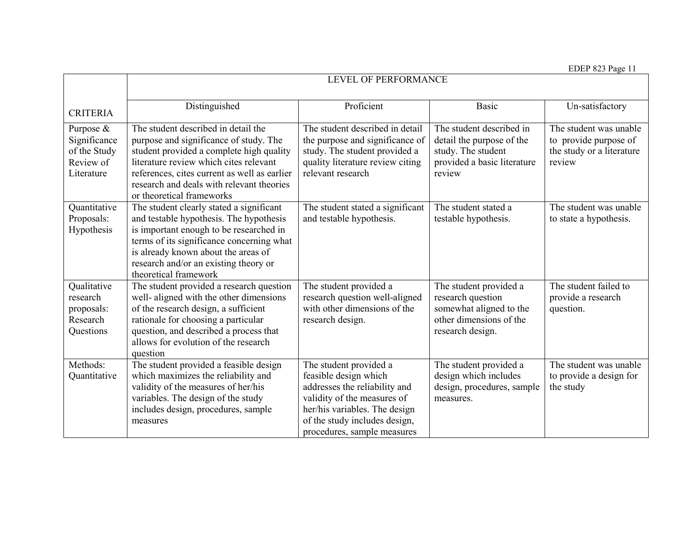EDEP 823 Page 11

|                                                                      | LEVEL OF PERFORMANCE                                                                                                                                                                                                                                                                          |                                                                                                                                                                                                                  |                                                                                                                       |                                                                                        |  |
|----------------------------------------------------------------------|-----------------------------------------------------------------------------------------------------------------------------------------------------------------------------------------------------------------------------------------------------------------------------------------------|------------------------------------------------------------------------------------------------------------------------------------------------------------------------------------------------------------------|-----------------------------------------------------------------------------------------------------------------------|----------------------------------------------------------------------------------------|--|
| <b>CRITERIA</b>                                                      | Distinguished                                                                                                                                                                                                                                                                                 | Proficient                                                                                                                                                                                                       | <b>Basic</b>                                                                                                          | Un-satisfactory                                                                        |  |
| Purpose &<br>Significance<br>of the Study<br>Review of<br>Literature | The student described in detail the<br>purpose and significance of study. The<br>student provided a complete high quality<br>literature review which cites relevant<br>references, cites current as well as earlier<br>research and deals with relevant theories<br>or theoretical frameworks | The student described in detail<br>the purpose and significance of<br>study. The student provided a<br>quality literature review citing<br>relevant research                                                     | The student described in<br>detail the purpose of the<br>study. The student<br>provided a basic literature<br>review  | The student was unable<br>to provide purpose of<br>the study or a literature<br>review |  |
| Quantitative<br>Proposals:<br>Hypothesis                             | The student clearly stated a significant<br>and testable hypothesis. The hypothesis<br>is important enough to be researched in<br>terms of its significance concerning what<br>is already known about the areas of<br>research and/or an existing theory or<br>theoretical framework          | The student stated a significant<br>and testable hypothesis.                                                                                                                                                     | The student stated a<br>testable hypothesis.                                                                          | The student was unable<br>to state a hypothesis.                                       |  |
| Qualitative<br>research<br>proposals:<br>Research<br>Questions       | The student provided a research question<br>well- aligned with the other dimensions<br>of the research design, a sufficient<br>rationale for choosing a particular<br>question, and described a process that<br>allows for evolution of the research<br>question                              | The student provided a<br>research question well-aligned<br>with other dimensions of the<br>research design.                                                                                                     | The student provided a<br>research question<br>somewhat aligned to the<br>other dimensions of the<br>research design. | The student failed to<br>provide a research<br>question.                               |  |
| Methods:<br>Quantitative                                             | The student provided a feasible design<br>which maximizes the reliability and<br>validity of the measures of her/his<br>variables. The design of the study<br>includes design, procedures, sample<br>measures                                                                                 | The student provided a<br>feasible design which<br>addresses the reliability and<br>validity of the measures of<br>her/his variables. The design<br>of the study includes design,<br>procedures, sample measures | The student provided a<br>design which includes<br>design, procedures, sample<br>measures.                            | The student was unable<br>to provide a design for<br>the study                         |  |